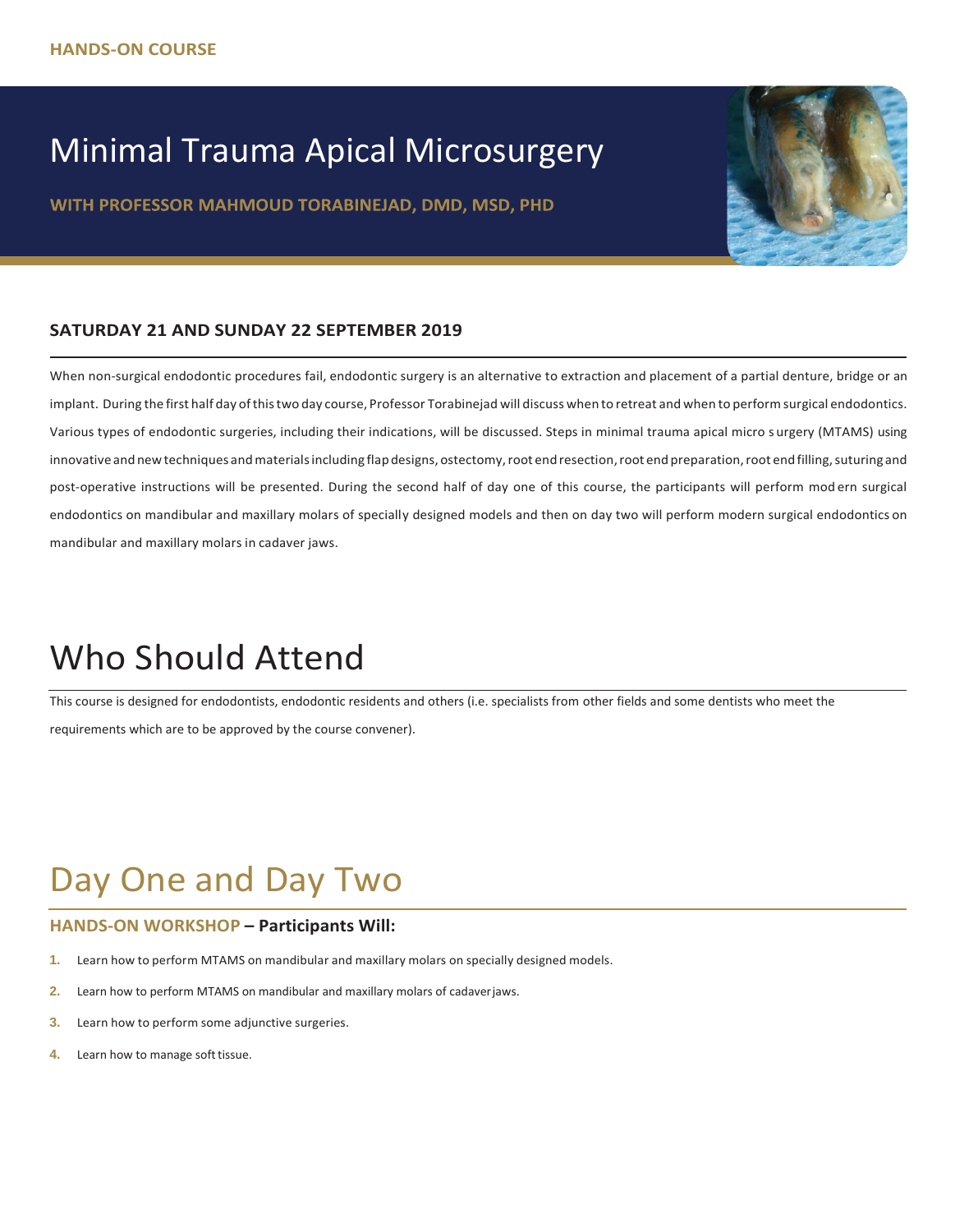### Minimal Trauma Apical Microsurgery

WITH PROFESSOR MAHMOUD TORABINEJAD, DMD, MSD, PHD



#### **SATURDAY 21 AND SUNDAY 22 SEPTEMBER 2019**

When non-surgical endodontic procedures fail, endodontic surgery is an alternative to extraction and placement of a partial denture, bridge or an implant. During the first half day ofthistwo day course, Professor Torabinejad will discuss when to retreat and when to performsurgical endodontics. Various types of endodontic surgeries, including their indications, will be discussed. Steps in minimal trauma apical micro s urgery (MTAMS) using innovative and new techniques and materials including flap designs, ostectomy, root end resection, root end preparation, root end filling, suturing and post-operative instructions will be presented. During the second half of day one of this course, the participants will perform mod ern surgical endodontics on mandibular and maxillary molars of specially designed models and then on day two will perform modern surgical endodontics on mandibular and maxillary molars in cadaver jaws.

## Who Should Attend

This course is designed for endodontists, endodontic residents and others (i.e. specialists from other fields and some dentists who meet the requirements which are to be approved by the course convener).

## Day One and Day Two

#### **HANDS-ON WORKSHOP – Participants Will:**

- **1.** Learn how to perform MTAMS on mandibular and maxillary molars on specially designed models.
- **2.** Learn how to perform MTAMS on mandibular and maxillary molars of cadaverjaws.
- **3.** Learn how to perform some adjunctive surgeries.
- **4.** Learn how to manage soft tissue.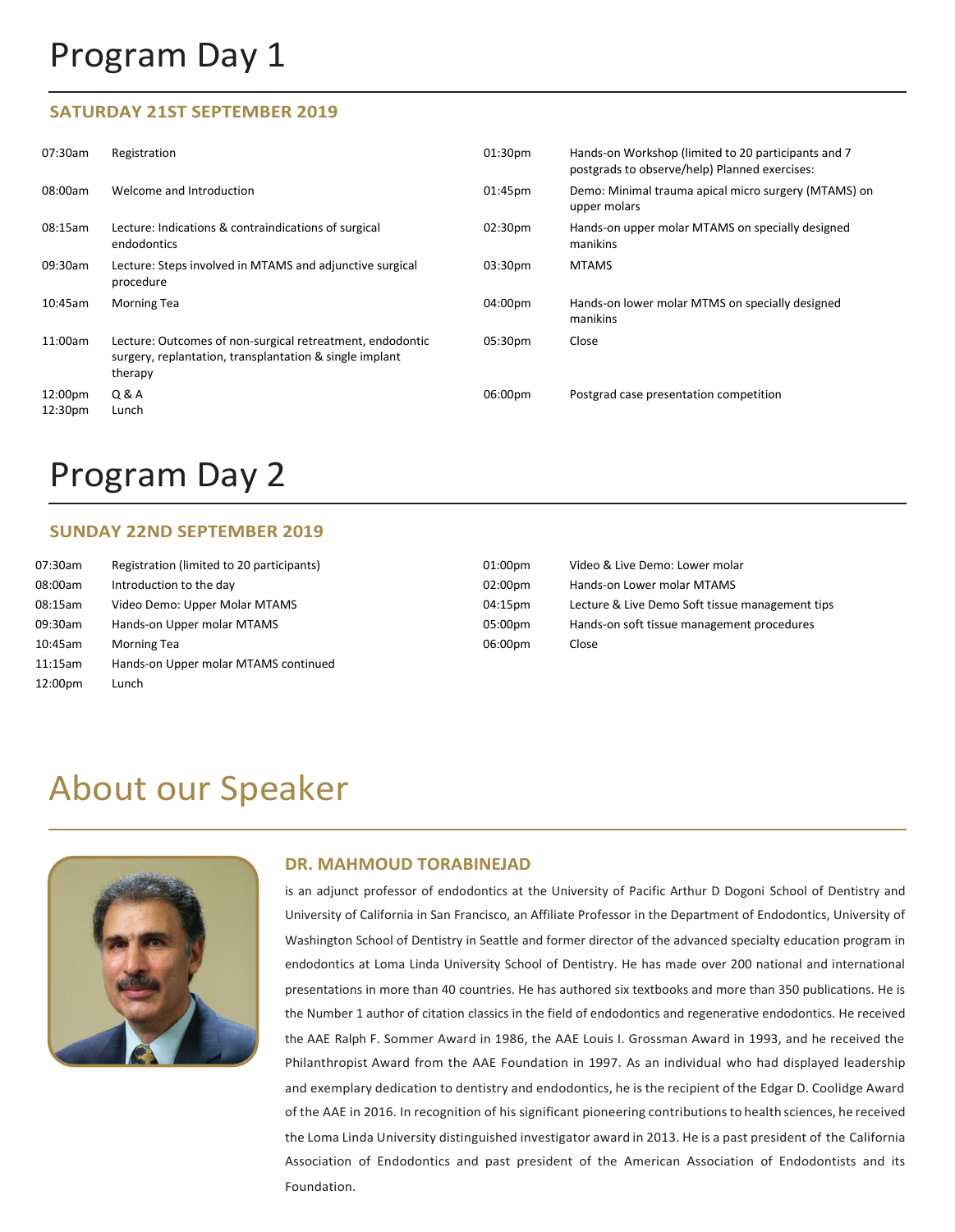## Program Day 1

#### **SATURDAY 21ST SEPTEMBER 2019**

| 07:30am            | Registration                                                                                                                    | 01:30 <sub>pm</sub> | Hands-on Workshop (limited to 20 participants and 7<br>postgrads to observe/help) Planned exercises: |
|--------------------|---------------------------------------------------------------------------------------------------------------------------------|---------------------|------------------------------------------------------------------------------------------------------|
| 08:00am            | Welcome and Introduction                                                                                                        | 01:45pm             | Demo: Minimal trauma apical micro surgery (MTAMS) on<br>upper molars                                 |
| 08:15am            | Lecture: Indications & contraindications of surgical<br>endodontics                                                             | 02:30 <sub>pm</sub> | Hands-on upper molar MTAMS on specially designed<br>manikins                                         |
| 09:30am            | Lecture: Steps involved in MTAMS and adjunctive surgical<br>procedure                                                           | 03:30pm             | <b>MTAMS</b>                                                                                         |
| 10:45am            | <b>Morning Tea</b>                                                                                                              | 04:00pm             | Hands-on lower molar MTMS on specially designed<br>manikins                                          |
| 11:00am            | Lecture: Outcomes of non-surgical retreatment, endodontic<br>surgery, replantation, transplantation & single implant<br>therapy | 05:30pm             | Close                                                                                                |
| 12:00pm<br>12:30pm | Q & A<br>Lunch                                                                                                                  | 06:00pm             | Postgrad case presentation competition                                                               |

### Program Day 2

#### **SUNDAY 22ND SEPTEMBER 2019**

| 07:30am | Registration (limited to 20 participants) | 01:00pm | Video & Live Demo: Lower molar                  |
|---------|-------------------------------------------|---------|-------------------------------------------------|
| 08:00am | Introduction to the day                   | 02:00pm | Hands-on Lower molar MTAMS                      |
| 08:15am | Video Demo: Upper Molar MTAMS             | 04:15pm | Lecture & Live Demo Soft tissue management tips |
| 09:30am | Hands-on Upper molar MTAMS                | 05:00pm | Hands-on soft tissue management procedures      |
| 10:45am | <b>Morning Tea</b>                        | 06:00pm | Close                                           |
| 11:15am | Hands-on Upper molar MTAMS continued      |         |                                                 |
| 12:00pm | Lunch                                     |         |                                                 |

### About our Speaker



#### **DR. MAHMOUD TORABINEJAD**

is an adjunct professor of endodontics at the University of Pacific Arthur D Dogoni School of Dentistry and University of California in San Francisco, an Affiliate Professor in the Department of Endodontics, University of Washington School of Dentistry in Seattle and former director of the advanced specialty education program in endodontics at Loma Linda University School of Dentistry. He has made over 200 national and international presentations in more than 40 countries. He has authored six textbooks and more than 350 publications. He is the Number 1 author of citation classics in the field of endodontics and regenerative endodontics. He received the AAE Ralph F. Sommer Award in 1986, the AAE Louis I. Grossman Award in 1993, and he received the Philanthropist Award from the AAE Foundation in 1997. As an individual who had displayed leadership and exemplary dedication to dentistry and endodontics, he is the recipient of the Edgar D. Coolidge Award of the AAE in 2016. In recognition of his significant pioneering contributionsto health sciences, he received the Loma Linda University distinguished investigator award in 2013. He is a past president of the California Association of Endodontics and past president of the American Association of Endodontists and its Foundation.